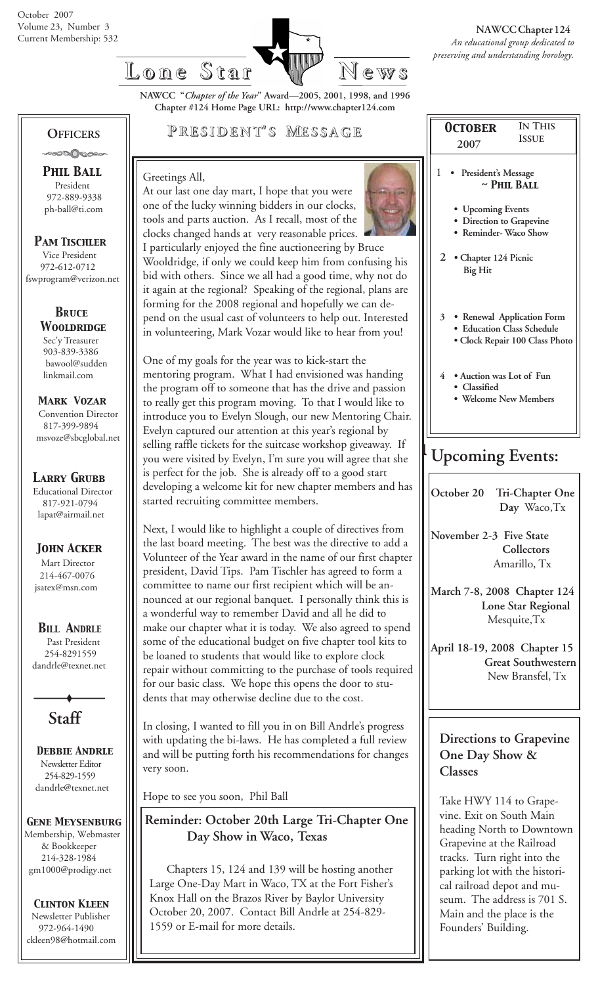

**NAWCC "***Chapter of the Year***" Award—2005, 2001, 1998, and 1996 Chapter #124 Home Page URL: http://www.chapter124.com**

## **OFFICERS**

 *Phil Ball* President 972-889-9338 ph-ball@ti.com

#### *Pam Tischler*

 Vice President 972-612-0712 fswprogram@verizon.net

#### *BRuce Wooldridge* Sec'y Treasurer 903-839-3386

 bawool@sudden linkmail.com

 *Mark Vozar* Convention Director 817-399-9894 msvoze@sbcglobal.net

*Larry Grubb* Educational Director 817-921-0794 lapat@airmail.net

## *John Acker*

Mart Director 214-467-0076 jsatex@msn.com

### *BILL ANDRLE*

 Past President 254-8291559 dandrle@texnet.net

**Staff**

 *Debbie Andrle* Newsletter Editor 254-829-1559 dandrle@texnet.net

*Gene Meysenburg* Membership, Webmaster & Bookkeeper 214-328-1984 gm1000@prodigy.net

#### *Clinton Kleen* Newsletter Publisher 972-964-1490 ckleen98@hotmail.com

## **P RESIDENT RESIDENT' S M ESSAGE**

At our last one day mart, I hope that you were

#### Greetings All,



tools and parts auction. As I recall, most of the clocks changed hands at very reasonable prices. I particularly enjoyed the fine auctioneering by Bruce Wooldridge, if only we could keep him from confusing his bid with others. Since we all had a good time, why not do it again at the regional? Speaking of the regional, plans are forming for the 2008 regional and hopefully we can depend on the usual cast of volunteers to help out. Interested in volunteering, Mark Vozar would like to hear from you!

One of my goals for the year was to kick-start the mentoring program. What I had envisioned was handing the program off to someone that has the drive and passion to really get this program moving. To that I would like to introduce you to Evelyn Slough, our new Mentoring Chair. Evelyn captured our attention at this year's regional by selling raffle tickets for the suitcase workshop giveaway. If you were visited by Evelyn, I'm sure you will agree that she is perfect for the job. She is already off to a good start developing a welcome kit for new chapter members and has started recruiting committee members.

Next, I would like to highlight a couple of directives from the last board meeting. The best was the directive to add a Volunteer of the Year award in the name of our first chapter president, David Tips. Pam Tischler has agreed to form a committee to name our first recipient which will be announced at our regional banquet. I personally think this is a wonderful way to remember David and all he did to make our chapter what it is today. We also agreed to spend some of the educational budget on five chapter tool kits to be loaned to students that would like to explore clock repair without committing to the purchase of tools required for our basic class. We hope this opens the door to students that may otherwise decline due to the cost.

In closing, I wanted to fill you in on Bill Andrle's progress with updating the bi-laws. He has completed a full review and will be putting forth his recommendations for changes very soon.

Hope to see you soon, Phil Ball

 **Reminder: October 20th Large Tri-Chapter One Day Show in Waco, Texas**

 Chapters 15, 124 and 139 will be hosting another Large One-Day Mart in Waco, TX at the Fort Fisher's Knox Hall on the Brazos River by Baylor University October 20, 2007. Contact Bill Andrle at 254-829- 1559 or E-mail for more details.

| <b>ISSUE</b><br>2007<br>1<br>President's Message<br>$\sim$ PHIL BALL<br>• Upcoming Events<br>· Direction to Grapevine<br>• Reminder-Waco Show<br>2 • Chapter 124 Picnic<br><b>Big Hit</b><br>$\overline{3}$<br>• Renewal Application Form<br><b>Education Class Schedule</b><br>· Clock Repair 100 Class Photo |  |  |  |  |
|----------------------------------------------------------------------------------------------------------------------------------------------------------------------------------------------------------------------------------------------------------------------------------------------------------------|--|--|--|--|
|                                                                                                                                                                                                                                                                                                                |  |  |  |  |
| 4 . Auction was Lot of Fun<br>• Classified<br>• Welcome New Members                                                                                                                                                                                                                                            |  |  |  |  |
| <b>Upcoming Events:</b><br>October 20 Tri-Chapter One<br>Day Waco, Tx                                                                                                                                                                                                                                          |  |  |  |  |

**November 2-3 Five State Collectors** Amarillo, Tx

**March 7-8, 2008 Chapter 124 Lone Star Regional** Mesquite,Tx

**April 18-19, 2008 Chapter 15 Great Southwestern** New Bransfel, Tx

## **Directions to Grapevine One Day Show & Classes**

Take HWY 114 to Grapevine. Exit on South Main heading North to Downtown Grapevine at the Railroad tracks. Turn right into the parking lot with the historical railroad depot and museum. The address is 701 S. Main and the place is the Founders' Building.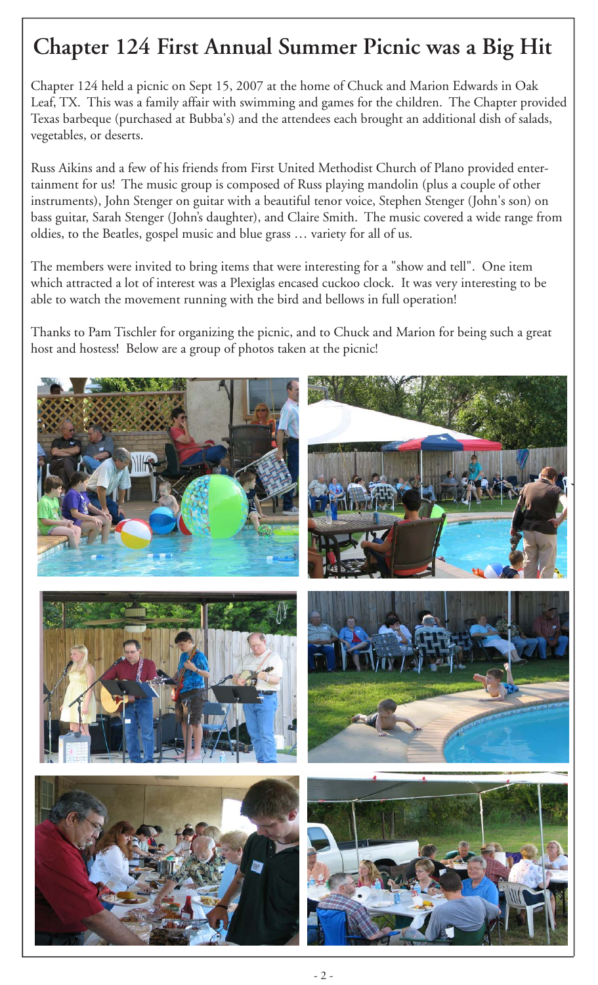# **Chapter 124 First Annual Summer Picnic was a Big Hit**

Chapter 124 held a picnic on Sept 15, 2007 at the home of Chuck and Marion Edwards in Oak Leaf, TX. This was a family affair with swimming and games for the children. The Chapter provided Texas barbeque (purchased at Bubba's) and the attendees each brought an additional dish of salads, vegetables, or deserts.

Russ Aikins and a few of his friends from First United Methodist Church of Plano provided entertainment for us! The music group is composed of Russ playing mandolin (plus a couple of other instruments), John Stenger on guitar with a beautiful tenor voice, Stephen Stenger (John's son) on bass guitar, Sarah Stenger (John's daughter), and Claire Smith. The music covered a wide range from oldies, to the Beatles, gospel music and blue grass … variety for all of us.

The members were invited to bring items that were interesting for a "show and tell". One item which attracted a lot of interest was a Plexiglas encased cuckoo clock. It was very interesting to be able to watch the movement running with the bird and bellows in full operation!

Thanks to Pam Tischler for organizing the picnic, and to Chuck and Marion for being such a great host and hostess! Below are a group of photos taken at the picnic!

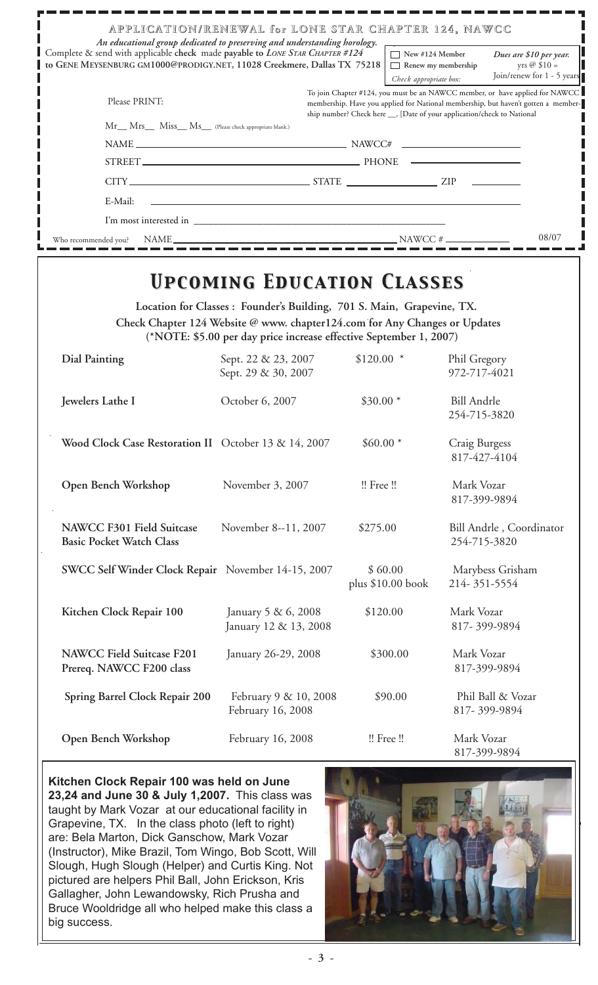| APPLICATION/RENEWAL for LONE STAR CHAPTER 124, NAWCC<br>An educational group dedicated to preserving and understanding horology.                        |                                                                                                                                                                                                                                                |                                                                               |
|---------------------------------------------------------------------------------------------------------------------------------------------------------|------------------------------------------------------------------------------------------------------------------------------------------------------------------------------------------------------------------------------------------------|-------------------------------------------------------------------------------|
| Complete & send with applicable check made payable to LONE STAR CHAPTER #124<br>to GENE MEYSENBURG GM1000@PRODIGY.NET, 11028 Creekmere, Dallas TX 75218 | $\Box$ New #124 Member<br>Renew my membership<br>Check appropriate box:                                                                                                                                                                        | Dues are \$10 per year.<br>yrs $\oslash$ \$10 =<br>Join/renew for 1 - 5 years |
| Please PRINT:                                                                                                                                           | To join Chapter #124, you must be an NAWCC member, or have applied for NAWCC<br>membership. Have you applied for National membership, but haven't gotten a member-<br>ship number? Check here ___, [Date of your application/check to National |                                                                               |
| Mr__ Mrs__ Miss__ Ms__ (Please check appropriate blank.)                                                                                                |                                                                                                                                                                                                                                                |                                                                               |
|                                                                                                                                                         |                                                                                                                                                                                                                                                |                                                                               |
|                                                                                                                                                         |                                                                                                                                                                                                                                                |                                                                               |
|                                                                                                                                                         |                                                                                                                                                                                                                                                |                                                                               |
| E-Mail:                                                                                                                                                 |                                                                                                                                                                                                                                                |                                                                               |
|                                                                                                                                                         |                                                                                                                                                                                                                                                |                                                                               |
| Who recommended you?                                                                                                                                    | $NAWCC \#$                                                                                                                                                                                                                                     | 08/07                                                                         |

## *Upcoming Education Classes Upcoming Education Classes*

**Location for Classes : Founder's Building, 701 S. Main, Grapevine, TX. Check Chapter 124 Website @ www. chapter124.com for Any Changes or Updates (\*NOTE: \$5.00 per day price increase effective September 1, 2007)**

| <b>Dial Painting</b>                                                | Sept. 22 & 23, 2007<br>Sept. 29 & 30, 2007   | $$120.00$ *                   | Phil Gregory<br>972-717-4021             |
|---------------------------------------------------------------------|----------------------------------------------|-------------------------------|------------------------------------------|
| Jewelers Lathe I                                                    | October 6, 2007                              | $$30.00*$                     | <b>Bill Andrle</b><br>254-715-3820       |
| Wood Clock Case Restoration II October 13 & 14, 2007                |                                              | $$60.00*$                     | Craig Burgess<br>817-427-4104            |
| Open Bench Workshop                                                 | November 3, 2007                             | !! Free !!                    | Mark Vozar<br>817-399-9894               |
| <b>NAWCC F301 Field Suitcase</b><br><b>Basic Pocket Watch Class</b> | November 8--11, 2007                         | \$275.00                      | Bill Andrle, Coordinator<br>254-715-3820 |
| SWCC Self Winder Clock Repair November 14-15, 2007                  |                                              | \$60.00<br>plus $$10.00$ book | Marybess Grisham<br>214-351-5554         |
| Kitchen Clock Repair 100                                            | January 5 & 6, 2008<br>January 12 & 13, 2008 | \$120.00                      | Mark Vozar<br>817-399-9894               |
| <b>NAWCC Field Suitcase F201</b><br>Prereq. NAWCC F200 class        | January 26-29, 2008                          | \$300.00                      | Mark Vozar<br>817-399-9894               |
| Spring Barrel Clock Repair 200                                      | February 9 & 10, 2008<br>February 16, 2008   | \$90.00                       | Phil Ball & Vozar<br>817-399-9894        |
| Open Bench Workshop                                                 | February 16, 2008                            | !! Free !!                    | Mark Vozar<br>817-399-9894               |

**Kitchen Clock Repair 100 was held on June 23,24 and June 30 & July 1,2007.** This class was taught by Mark Vozar at our educational facility in Grapevine, TX. In the class photo (left to right) are: Bela Marton, Dick Ganschow, Mark Vozar (Instructor), Mike Brazil, Tom Wingo, Bob Scott, Will Slough, Hugh Slough (Helper) and Curtis King. Not pictured are helpers Phil Ball, John Erickson, Kris Gallagher, John Lewandowsky, Rich Prusha and Bruce Wooldridge all who helped make this class a big success.